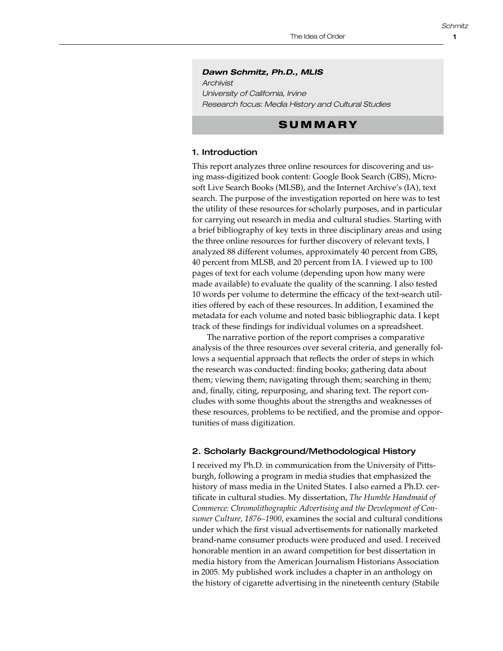*Schmitz*

### *Dawn Schmitz, Ph.D., MLIS*

*Archivist University of California, Irvine Research focus: Media History and Cultural Studies*

## **SUMMARY**

## 1. Introduction

This report analyzes three online resources for discovering and using mass-digitized book content: Google Book Search (GBS), Microsoft Live Search Books (MLSB), and the Internet Archive's (IA), text search. The purpose of the investigation reported on here was to test the utility of these resources for scholarly purposes, and in particular for carrying out research in media and cultural studies. Starting with a brief bibliography of key texts in three disciplinary areas and using the three online resources for further discovery of relevant texts, I analyzed 88 different volumes, approximately 40 percent from GBS, 40 percent from MLSB, and 20 percent from IA. I viewed up to 100 pages of text for each volume (depending upon how many were made available) to evaluate the quality of the scanning. I also tested 10 words per volume to determine the efficacy of the text-search utilities offered by each of these resources. In addition, I examined the metadata for each volume and noted basic bibliographic data. I kept track of these findings for individual volumes on a spreadsheet.

The narrative portion of the report comprises a comparative analysis of the three resources over several criteria, and generally follows a sequential approach that reflects the order of steps in which the research was conducted: finding books; gathering data about them; viewing them; navigating through them; searching in them; and, finally, citing, repurposing, and sharing text. The report concludes with some thoughts about the strengths and weaknesses of these resources, problems to be rectified, and the promise and opportunities of mass digitization.

## 2. Scholarly Background/Methodological History

I received my Ph.D. in communication from the University of Pittsburgh, following a program in media studies that emphasized the history of mass media in the United States. I also earned a Ph.D. certificate in cultural studies. My dissertation, *The Humble Handmaid of Commerce: Chromolithographic Advertising and the Development of Consumer Culture, 1876–1900*, examines the social and cultural conditions under which the first visual advertisements for nationally marketed brand-name consumer products were produced and used. I received honorable mention in an award competition for best dissertation in media history from the American Journalism Historians Association in 2005. My published work includes a chapter in an anthology on the history of cigarette advertising in the nineteenth century (Stabile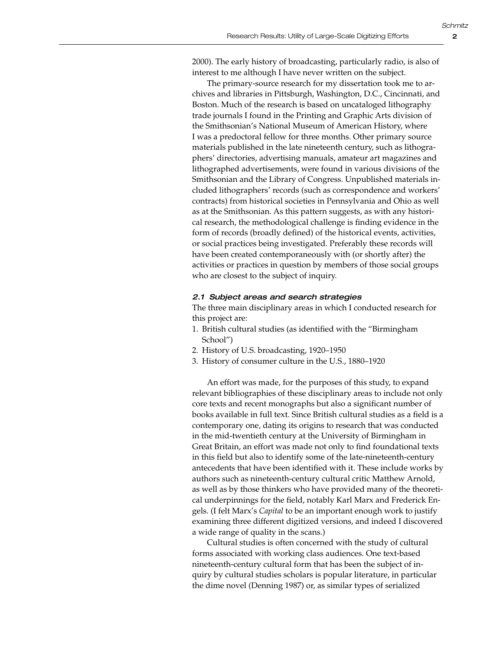2000). The early history of broadcasting, particularly radio, is also of interest to me although I have never written on the subject.

The primary-source research for my dissertation took me to archives and libraries in Pittsburgh, Washington, D.C., Cincinnati, and Boston. Much of the research is based on uncataloged lithography trade journals I found in the Printing and Graphic Arts division of the Smithsonian's National Museum of American History, where I was a predoctoral fellow for three months. Other primary source materials published in the late nineteenth century, such as lithographers' directories, advertising manuals, amateur art magazines and lithographed advertisements, were found in various divisions of the Smithsonian and the Library of Congress. Unpublished materials included lithographers' records (such as correspondence and workers' contracts) from historical societies in Pennsylvania and Ohio as well as at the Smithsonian. As this pattern suggests, as with any historical research, the methodological challenge is finding evidence in the form of records (broadly defined) of the historical events, activities, or social practices being investigated. Preferably these records will have been created contemporaneously with (or shortly after) the activities or practices in question by members of those social groups who are closest to the subject of inquiry.

### *2.1 Subject areas and search strategies*

The three main disciplinary areas in which I conducted research for this project are:

- 1. British cultural studies (as identified with the "Birmingham School")
- 2. History of U.S. broadcasting, 1920–1950
- 3. History of consumer culture in the U.S., 1880–1920

An effort was made, for the purposes of this study, to expand relevant bibliographies of these disciplinary areas to include not only core texts and recent monographs but also a significant number of books available in full text. Since British cultural studies as a field is a contemporary one, dating its origins to research that was conducted in the mid-twentieth century at the University of Birmingham in Great Britain, an effort was made not only to find foundational texts in this field but also to identify some of the late-nineteenth-century antecedents that have been identified with it. These include works by authors such as nineteenth-century cultural critic Matthew Arnold, as well as by those thinkers who have provided many of the theoretical underpinnings for the field, notably Karl Marx and Frederick Engels. (I felt Marx's *Capital* to be an important enough work to justify examining three different digitized versions, and indeed I discovered a wide range of quality in the scans.)

Cultural studies is often concerned with the study of cultural forms associated with working class audiences. One text-based nineteenth-century cultural form that has been the subject of inquiry by cultural studies scholars is popular literature, in particular the dime novel (Denning 1987) or, as similar types of serialized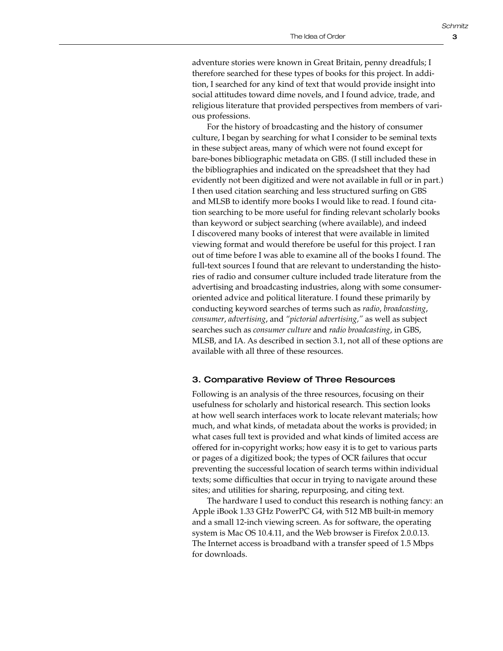3

adventure stories were known in Great Britain, penny dreadfuls; I therefore searched for these types of books for this project. In addition, I searched for any kind of text that would provide insight into social attitudes toward dime novels, and I found advice, trade, and religious literature that provided perspectives from members of various professions.

For the history of broadcasting and the history of consumer culture, I began by searching for what I consider to be seminal texts in these subject areas, many of which were not found except for bare-bones bibliographic metadata on GBS. (I still included these in the bibliographies and indicated on the spreadsheet that they had evidently not been digitized and were not available in full or in part.) I then used citation searching and less structured surfing on GBS and MLSB to identify more books I would like to read. I found citation searching to be more useful for finding relevant scholarly books than keyword or subject searching (where available), and indeed I discovered many books of interest that were available in limited viewing format and would therefore be useful for this project. I ran out of time before I was able to examine all of the books I found. The full-text sources I found that are relevant to understanding the histories of radio and consumer culture included trade literature from the advertising and broadcasting industries, along with some consumeroriented advice and political literature. I found these primarily by conducting keyword searches of terms such as *radio*, *broadcasting*, *consumer*, *advertising*, and *"pictorial advertising,"* as well as subject searches such as *consumer culture* and *radio broadcasting*, in GBS, MLSB, and IA. As described in section 3.1, not all of these options are available with all three of these resources.

## 3. Comparative Review of Three Resources

Following is an analysis of the three resources, focusing on their usefulness for scholarly and historical research. This section looks at how well search interfaces work to locate relevant materials; how much, and what kinds, of metadata about the works is provided; in what cases full text is provided and what kinds of limited access are offered for in-copyright works; how easy it is to get to various parts or pages of a digitized book; the types of OCR failures that occur preventing the successful location of search terms within individual texts; some difficulties that occur in trying to navigate around these sites; and utilities for sharing, repurposing, and citing text.

The hardware I used to conduct this research is nothing fancy: an Apple iBook 1.33 GHz PowerPC G4, with 512 MB built-in memory and a small 12-inch viewing screen. As for software, the operating system is Mac OS 10.4.11, and the Web browser is Firefox 2.0.0.13. The Internet access is broadband with a transfer speed of 1.5 Mbps for downloads.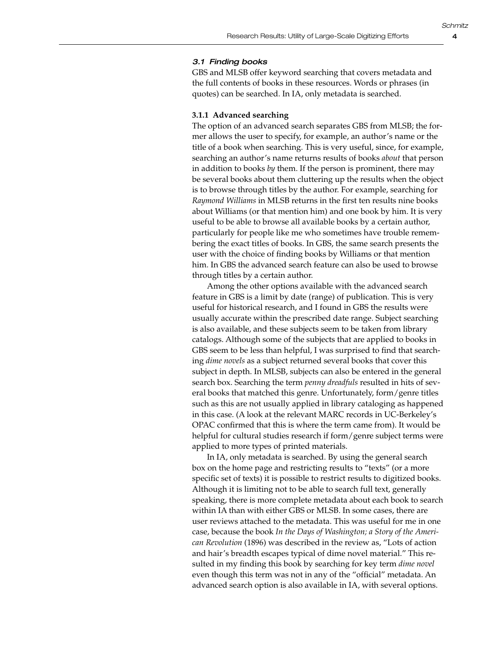#### *3.1 Finding books*

GBS and MLSB offer keyword searching that covers metadata and the full contents of books in these resources. Words or phrases (in quotes) can be searched. In IA, only metadata is searched.

#### **3.1.1 Advanced searching**

The option of an advanced search separates GBS from MLSB; the former allows the user to specify, for example, an author's name or the title of a book when searching. This is very useful, since, for example, searching an author's name returns results of books *about* that person in addition to books *by* them. If the person is prominent, there may be several books about them cluttering up the results when the object is to browse through titles by the author. For example, searching for *Raymond Williams* in MLSB returns in the first ten results nine books about Williams (or that mention him) and one book by him. It is very useful to be able to browse all available books by a certain author, particularly for people like me who sometimes have trouble remembering the exact titles of books. In GBS, the same search presents the user with the choice of finding books by Williams or that mention him. In GBS the advanced search feature can also be used to browse through titles by a certain author.

Among the other options available with the advanced search feature in GBS is a limit by date (range) of publication. This is very useful for historical research, and I found in GBS the results were usually accurate within the prescribed date range. Subject searching is also available, and these subjects seem to be taken from library catalogs. Although some of the subjects that are applied to books in GBS seem to be less than helpful, I was surprised to find that searching *dime novels* as a subject returned several books that cover this subject in depth. In MLSB, subjects can also be entered in the general search box. Searching the term *penny dreadfuls* resulted in hits of several books that matched this genre. Unfortunately, form/genre titles such as this are not usually applied in library cataloging as happened in this case. (A look at the relevant MARC records in UC-Berkeley's OPAC confirmed that this is where the term came from). It would be helpful for cultural studies research if form/genre subject terms were applied to more types of printed materials.

In IA, only metadata is searched. By using the general search box on the home page and restricting results to "texts" (or a more specific set of texts) it is possible to restrict results to digitized books. Although it is limiting not to be able to search full text, generally speaking, there is more complete metadata about each book to search within IA than with either GBS or MLSB. In some cases, there are user reviews attached to the metadata. This was useful for me in one case, because the book *In the Days of Washington; a Story of the American Revolution* (1896) was described in the review as, "Lots of action and hair's breadth escapes typical of dime novel material." This resulted in my finding this book by searching for key term *dime novel* even though this term was not in any of the "official" metadata. An advanced search option is also available in IA, with several options.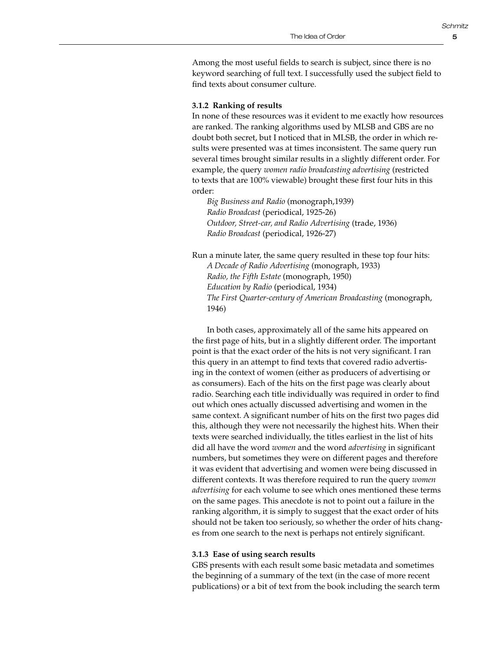5

Among the most useful fields to search is subject, since there is no keyword searching of full text. I successfully used the subject field to find texts about consumer culture.

#### **3.1.2 Ranking of results**

In none of these resources was it evident to me exactly how resources are ranked. The ranking algorithms used by MLSB and GBS are no doubt both secret, but I noticed that in MLSB, the order in which results were presented was at times inconsistent. The same query run several times brought similar results in a slightly different order. For example, the query *women radio broadcasting advertising* (restricted to texts that are 100% viewable) brought these first four hits in this order:

*Big Business and Radio* (monograph,1939) *Radio Broadcast* (periodical, 1925-26) *Outdoor, Street-car, and Radio Advertising* (trade, 1936) *Radio Broadcast* (periodical, 1926-27)

Run a minute later, the same query resulted in these top four hits: *A Decade of Radio Advertising* (monograph, 1933) *Radio, the Fifth Estate* (monograph, 1950) *Education by Radio* (periodical, 1934) *The First Quarter-century of American Broadcasting* (monograph, 1946)

In both cases, approximately all of the same hits appeared on the first page of hits, but in a slightly different order. The important point is that the exact order of the hits is not very significant. I ran this query in an attempt to find texts that covered radio advertising in the context of women (either as producers of advertising or as consumers). Each of the hits on the first page was clearly about radio. Searching each title individually was required in order to find out which ones actually discussed advertising and women in the same context. A significant number of hits on the first two pages did this, although they were not necessarily the highest hits. When their texts were searched individually, the titles earliest in the list of hits did all have the word *women* and the word *advertising* in significant numbers, but sometimes they were on different pages and therefore it was evident that advertising and women were being discussed in different contexts. It was therefore required to run the query *women advertising* for each volume to see which ones mentioned these terms on the same pages. This anecdote is not to point out a failure in the ranking algorithm, it is simply to suggest that the exact order of hits should not be taken too seriously, so whether the order of hits changes from one search to the next is perhaps not entirely significant.

#### **3.1.3 Ease of using search results**

GBS presents with each result some basic metadata and sometimes the beginning of a summary of the text (in the case of more recent publications) or a bit of text from the book including the search term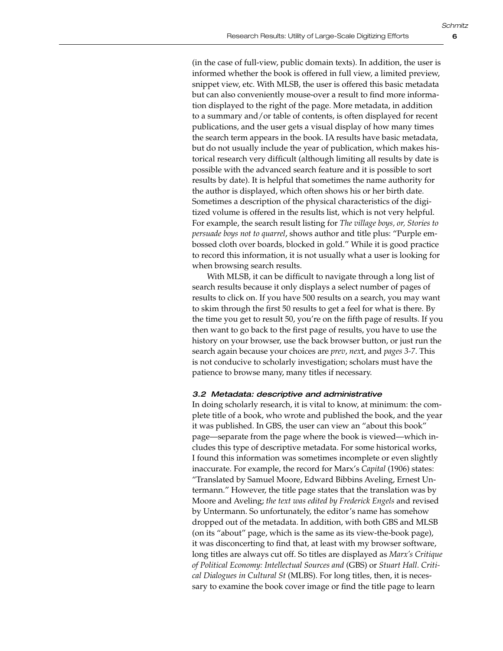(in the case of full-view, public domain texts). In addition, the user is informed whether the book is offered in full view, a limited preview, snippet view, etc. With MLSB, the user is offered this basic metadata but can also conveniently mouse-over a result to find more information displayed to the right of the page. More metadata, in addition to a summary and/or table of contents, is often displayed for recent publications, and the user gets a visual display of how many times the search term appears in the book. IA results have basic metadata, but do not usually include the year of publication, which makes historical research very difficult (although limiting all results by date is possible with the advanced search feature and it is possible to sort results by date). It is helpful that sometimes the name authority for the author is displayed, which often shows his or her birth date. Sometimes a description of the physical characteristics of the digitized volume is offered in the results list, which is not very helpful. For example, the search result listing for *The village boys, or, Stories to persuade boys not to quarrel*, shows author and title plus: "Purple embossed cloth over boards, blocked in gold." While it is good practice to record this information, it is not usually what a user is looking for when browsing search results.

With MLSB, it can be difficult to navigate through a long list of search results because it only displays a select number of pages of results to click on. If you have 500 results on a search, you may want to skim through the first 50 results to get a feel for what is there. By the time you get to result 50, you're on the fifth page of results. If you then want to go back to the first page of results, you have to use the history on your browser, use the back browser button, or just run the search again because your choices are *prev*, *nex*t, and *pages 3-7*. This is not conducive to scholarly investigation; scholars must have the patience to browse many, many titles if necessary.

#### *3.2 Metadata: descriptive and administrative*

In doing scholarly research, it is vital to know, at minimum: the complete title of a book, who wrote and published the book, and the year it was published. In GBS, the user can view an "about this book" page—separate from the page where the book is viewed—which includes this type of descriptive metadata. For some historical works, I found this information was sometimes incomplete or even slightly inaccurate. For example, the record for Marx's *Capital* (1906) states: "Translated by Samuel Moore, Edward Bibbins Aveling, Ernest Untermann." However, the title page states that the translation was by Moore and Aveling; *the text was edited by Frederick Engels* and revised by Untermann. So unfortunately, the editor's name has somehow dropped out of the metadata. In addition, with both GBS and MLSB (on its "about" page, which is the same as its view-the-book page), it was disconcerting to find that, at least with my browser software, long titles are always cut off. So titles are displayed as *Marx's Critique of Political Economy: Intellectual Sources and* (GBS) or *Stuart Hall. Critical Dialogues in Cultural St* (MLBS). For long titles, then, it is necessary to examine the book cover image or find the title page to learn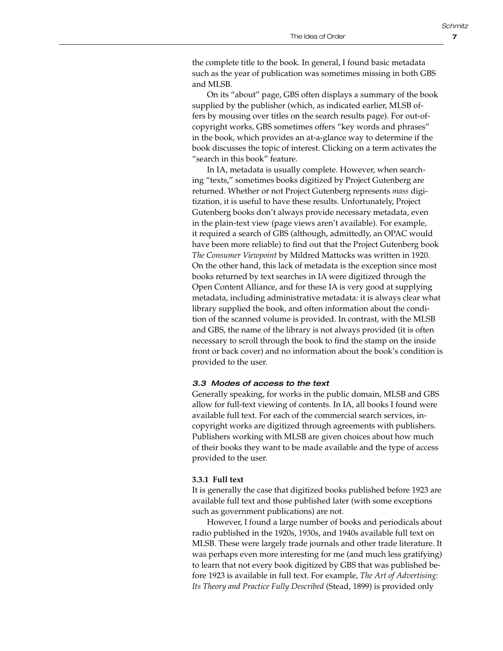the complete title to the book. In general, I found basic metadata such as the year of publication was sometimes missing in both GBS and MLSB.

On its "about" page, GBS often displays a summary of the book supplied by the publisher (which, as indicated earlier, MLSB offers by mousing over titles on the search results page). For out-ofcopyright works, GBS sometimes offers "key words and phrases" in the book, which provides an at-a-glance way to determine if the book discusses the topic of interest. Clicking on a term activates the "search in this book" feature.

In IA, metadata is usually complete. However, when searching "texts," sometimes books digitized by Project Gutenberg are returned. Whether or not Project Gutenberg represents *mass* digitization, it is useful to have these results. Unfortunately, Project Gutenberg books don't always provide necessary metadata, even in the plain-text view (page views aren't available). For example, it required a search of GBS (although, admittedly, an OPAC would have been more reliable) to find out that the Project Gutenberg book *The Consumer Viewpoint* by Mildred Mattocks was written in 1920. On the other hand, this lack of metadata is the exception since most books returned by text searches in IA were digitized through the Open Content Alliance, and for these IA is very good at supplying metadata, including administrative metadata: it is always clear what library supplied the book, and often information about the condition of the scanned volume is provided. In contrast, with the MLSB and GBS, the name of the library is not always provided (it is often necessary to scroll through the book to find the stamp on the inside front or back cover) and no information about the book's condition is provided to the user.

#### *3.3 Modes of access to the text*

Generally speaking, for works in the public domain, MLSB and GBS allow for full-text viewing of contents. In IA, all books I found were available full text. For each of the commercial search services, incopyright works are digitized through agreements with publishers. Publishers working with MLSB are given choices about how much of their books they want to be made available and the type of access provided to the user.

#### **3.3.1 Full text**

It is generally the case that digitized books published before 1923 are available full text and those published later (with some exceptions such as government publications) are not.

However, I found a large number of books and periodicals about radio published in the 1920s, 1930s, and 1940s available full text on MLSB. These were largely trade journals and other trade literature. It was perhaps even more interesting for me (and much less gratifying) to learn that not every book digitized by GBS that was published before 1923 is available in full text. For example, *The Art of Advertising: Its Theory and Practice Fully Described* (Stead, 1899) is provided only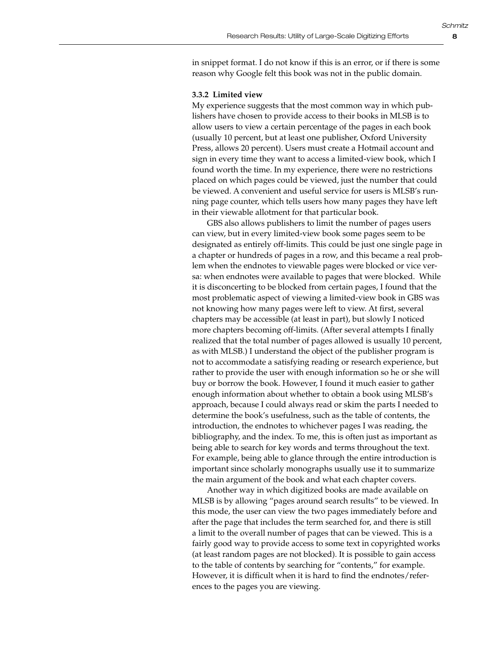in snippet format. I do not know if this is an error, or if there is some reason why Google felt this book was not in the public domain.

#### **3.3.2 Limited view**

My experience suggests that the most common way in which publishers have chosen to provide access to their books in MLSB is to allow users to view a certain percentage of the pages in each book (usually 10 percent, but at least one publisher, Oxford University Press, allows 20 percent). Users must create a Hotmail account and sign in every time they want to access a limited-view book, which I found worth the time. In my experience, there were no restrictions placed on which pages could be viewed, just the number that could be viewed. A convenient and useful service for users is MLSB's running page counter, which tells users how many pages they have left in their viewable allotment for that particular book.

GBS also allows publishers to limit the number of pages users can view, but in every limited-view book some pages seem to be designated as entirely off-limits. This could be just one single page in a chapter or hundreds of pages in a row, and this became a real problem when the endnotes to viewable pages were blocked or vice versa: when endnotes were available to pages that were blocked. While it is disconcerting to be blocked from certain pages, I found that the most problematic aspect of viewing a limited-view book in GBS was not knowing how many pages were left to view. At first, several chapters may be accessible (at least in part), but slowly I noticed more chapters becoming off-limits. (After several attempts I finally realized that the total number of pages allowed is usually 10 percent, as with MLSB.) I understand the object of the publisher program is not to accommodate a satisfying reading or research experience, but rather to provide the user with enough information so he or she will buy or borrow the book. However, I found it much easier to gather enough information about whether to obtain a book using MLSB's approach, because I could always read or skim the parts I needed to determine the book's usefulness, such as the table of contents, the introduction, the endnotes to whichever pages I was reading, the bibliography, and the index. To me, this is often just as important as being able to search for key words and terms throughout the text. For example, being able to glance through the entire introduction is important since scholarly monographs usually use it to summarize the main argument of the book and what each chapter covers.

Another way in which digitized books are made available on MLSB is by allowing "pages around search results" to be viewed. In this mode, the user can view the two pages immediately before and after the page that includes the term searched for, and there is still a limit to the overall number of pages that can be viewed. This is a fairly good way to provide access to some text in copyrighted works (at least random pages are not blocked). It is possible to gain access to the table of contents by searching for "contents," for example. However, it is difficult when it is hard to find the endnotes/references to the pages you are viewing.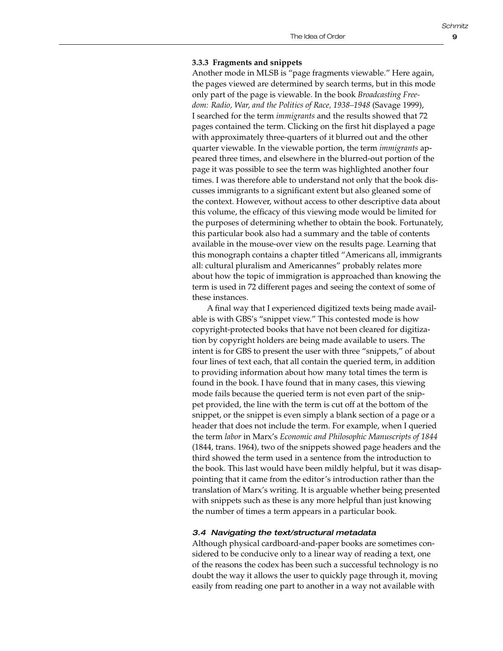#### **3.3.3 Fragments and snippets**

Another mode in MLSB is "page fragments viewable." Here again, the pages viewed are determined by search terms, but in this mode only part of the page is viewable. In the book *Broadcasting Freedom: Radio, War, and the Politics of Race, 1938–1948* (Savage 1999), I searched for the term *immigrants* and the results showed that 72 pages contained the term. Clicking on the first hit displayed a page with approximately three-quarters of it blurred out and the other quarter viewable. In the viewable portion, the term *immigrants* appeared three times, and elsewhere in the blurred-out portion of the page it was possible to see the term was highlighted another four times. I was therefore able to understand not only that the book discusses immigrants to a significant extent but also gleaned some of the context. However, without access to other descriptive data about this volume, the efficacy of this viewing mode would be limited for the purposes of determining whether to obtain the book. Fortunately, this particular book also had a summary and the table of contents available in the mouse-over view on the results page. Learning that this monograph contains a chapter titled "Americans all, immigrants all: cultural pluralism and Americannes" probably relates more about how the topic of immigration is approached than knowing the term is used in 72 different pages and seeing the context of some of these instances.

A final way that I experienced digitized texts being made available is with GBS's "snippet view." This contested mode is how copyright-protected books that have not been cleared for digitization by copyright holders are being made available to users. The intent is for GBS to present the user with three "snippets," of about four lines of text each, that all contain the queried term, in addition to providing information about how many total times the term is found in the book. I have found that in many cases, this viewing mode fails because the queried term is not even part of the snippet provided, the line with the term is cut off at the bottom of the snippet, or the snippet is even simply a blank section of a page or a header that does not include the term. For example, when I queried the term *labor* in Marx's *Economic and Philosophic Manuscripts of 1844* (1844, trans. 1964), two of the snippets showed page headers and the third showed the term used in a sentence from the introduction to the book. This last would have been mildly helpful, but it was disappointing that it came from the editor's introduction rather than the translation of Marx's writing. It is arguable whether being presented with snippets such as these is any more helpful than just knowing the number of times a term appears in a particular book.

#### *3.4 Navigating the text/structural metadata*

Although physical cardboard-and-paper books are sometimes considered to be conducive only to a linear way of reading a text, one of the reasons the codex has been such a successful technology is no doubt the way it allows the user to quickly page through it, moving easily from reading one part to another in a way not available with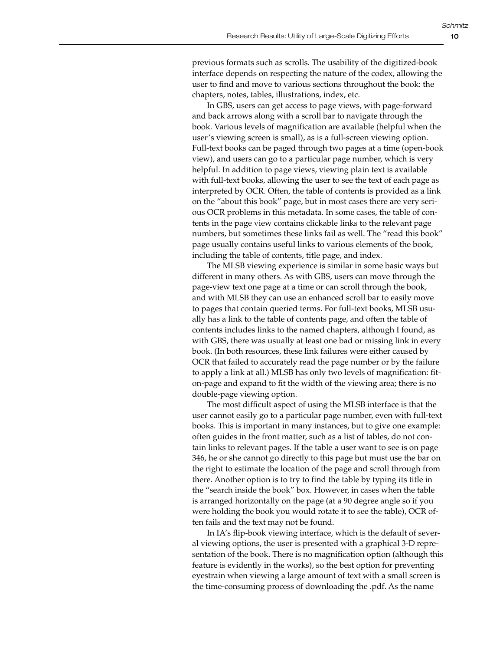previous formats such as scrolls. The usability of the digitized-book interface depends on respecting the nature of the codex, allowing the user to find and move to various sections throughout the book: the chapters, notes, tables, illustrations, index, etc.

In GBS, users can get access to page views, with page-forward and back arrows along with a scroll bar to navigate through the book. Various levels of magnification are available (helpful when the user's viewing screen is small), as is a full-screen viewing option. Full-text books can be paged through two pages at a time (open-book view), and users can go to a particular page number, which is very helpful. In addition to page views, viewing plain text is available with full-text books, allowing the user to see the text of each page as interpreted by OCR. Often, the table of contents is provided as a link on the "about this book" page, but in most cases there are very serious OCR problems in this metadata. In some cases, the table of contents in the page view contains clickable links to the relevant page numbers, but sometimes these links fail as well. The "read this book" page usually contains useful links to various elements of the book, including the table of contents, title page, and index.

The MLSB viewing experience is similar in some basic ways but different in many others. As with GBS, users can move through the page-view text one page at a time or can scroll through the book, and with MLSB they can use an enhanced scroll bar to easily move to pages that contain queried terms. For full-text books, MLSB usually has a link to the table of contents page, and often the table of contents includes links to the named chapters, although I found, as with GBS, there was usually at least one bad or missing link in every book. (In both resources, these link failures were either caused by OCR that failed to accurately read the page number or by the failure to apply a link at all.) MLSB has only two levels of magnification: fiton-page and expand to fit the width of the viewing area; there is no double-page viewing option.

The most difficult aspect of using the MLSB interface is that the user cannot easily go to a particular page number, even with full-text books. This is important in many instances, but to give one example: often guides in the front matter, such as a list of tables, do not contain links to relevant pages. If the table a user want to see is on page 346, he or she cannot go directly to this page but must use the bar on the right to estimate the location of the page and scroll through from there. Another option is to try to find the table by typing its title in the "search inside the book" box. However, in cases when the table is arranged horizontally on the page (at a 90 degree angle so if you were holding the book you would rotate it to see the table), OCR often fails and the text may not be found.

In IA's flip-book viewing interface, which is the default of several viewing options, the user is presented with a graphical 3-D representation of the book. There is no magnification option (although this feature is evidently in the works), so the best option for preventing eyestrain when viewing a large amount of text with a small screen is the time-consuming process of downloading the .pdf. As the name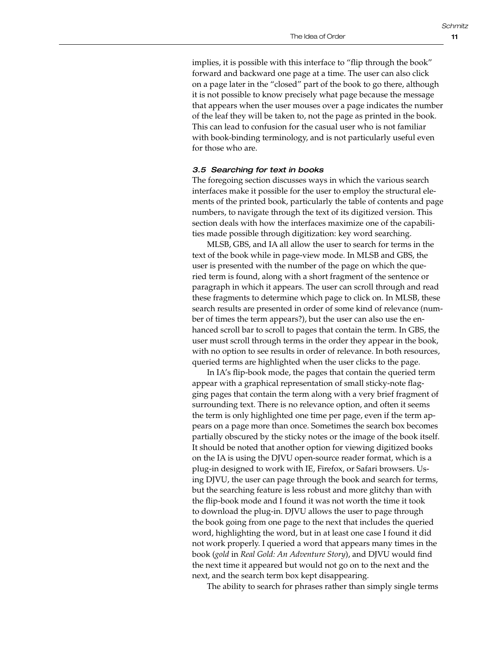implies, it is possible with this interface to "flip through the book" forward and backward one page at a time. The user can also click on a page later in the "closed" part of the book to go there, although it is not possible to know precisely what page because the message that appears when the user mouses over a page indicates the number of the leaf they will be taken to, not the page as printed in the book. This can lead to confusion for the casual user who is not familiar with book-binding terminology, and is not particularly useful even for those who are.

### *3.5 Searching for text in books*

The foregoing section discusses ways in which the various search interfaces make it possible for the user to employ the structural elements of the printed book, particularly the table of contents and page numbers, to navigate through the text of its digitized version. This section deals with how the interfaces maximize one of the capabilities made possible through digitization: key word searching.

MLSB, GBS, and IA all allow the user to search for terms in the text of the book while in page-view mode. In MLSB and GBS, the user is presented with the number of the page on which the queried term is found, along with a short fragment of the sentence or paragraph in which it appears. The user can scroll through and read these fragments to determine which page to click on. In MLSB, these search results are presented in order of some kind of relevance (number of times the term appears?), but the user can also use the enhanced scroll bar to scroll to pages that contain the term. In GBS, the user must scroll through terms in the order they appear in the book, with no option to see results in order of relevance. In both resources, queried terms are highlighted when the user clicks to the page.

In IA's flip-book mode, the pages that contain the queried term appear with a graphical representation of small sticky-note flagging pages that contain the term along with a very brief fragment of surrounding text. There is no relevance option, and often it seems the term is only highlighted one time per page, even if the term appears on a page more than once. Sometimes the search box becomes partially obscured by the sticky notes or the image of the book itself. It should be noted that another option for viewing digitized books on the IA is using the DJVU open-source reader format, which is a plug-in designed to work with IE, Firefox, or Safari browsers. Using DJVU, the user can page through the book and search for terms, but the searching feature is less robust and more glitchy than with the flip-book mode and I found it was not worth the time it took to download the plug-in. DJVU allows the user to page through the book going from one page to the next that includes the queried word, highlighting the word, but in at least one case I found it did not work properly. I queried a word that appears many times in the book (*gold* in *Real Gold: An Adventure Story*), and DJVU would find the next time it appeared but would not go on to the next and the next, and the search term box kept disappearing.

The ability to search for phrases rather than simply single terms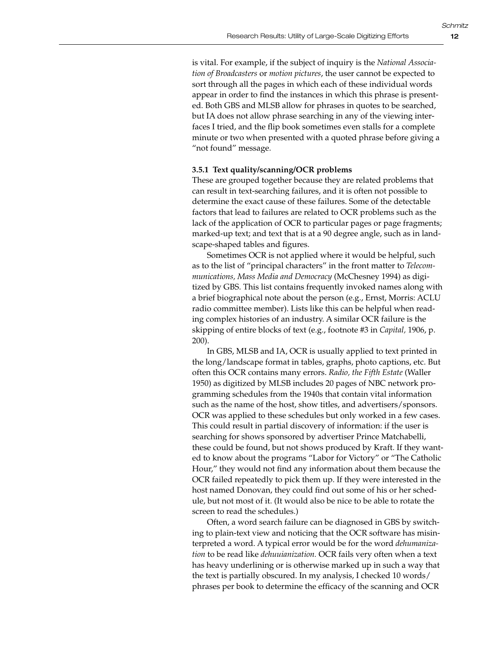is vital. For example, if the subject of inquiry is the *National Association of Broadcasters* or *motion pictures*, the user cannot be expected to sort through all the pages in which each of these individual words appear in order to find the instances in which this phrase is presented. Both GBS and MLSB allow for phrases in quotes to be searched, but IA does not allow phrase searching in any of the viewing interfaces I tried, and the flip book sometimes even stalls for a complete minute or two when presented with a quoted phrase before giving a "not found" message.

#### **3.5.1 Text quality/scanning/OCR problems**

These are grouped together because they are related problems that can result in text-searching failures, and it is often not possible to determine the exact cause of these failures. Some of the detectable factors that lead to failures are related to OCR problems such as the lack of the application of OCR to particular pages or page fragments; marked-up text; and text that is at a 90 degree angle, such as in landscape-shaped tables and figures.

Sometimes OCR is not applied where it would be helpful, such as to the list of "principal characters" in the front matter to *Telecommunications, Mass Media and Democracy* (McChesney 1994) as digitized by GBS. This list contains frequently invoked names along with a brief biographical note about the person (e.g., Ernst, Morris: ACLU radio committee member). Lists like this can be helpful when reading complex histories of an industry. A similar OCR failure is the skipping of entire blocks of text (e.g., footnote #3 in *Capital,* 1906, p. 200).

In GBS, MLSB and IA, OCR is usually applied to text printed in the long/landscape format in tables, graphs, photo captions, etc. But often this OCR contains many errors. *Radio, the Fifth Estate* (Waller 1950) as digitized by MLSB includes 20 pages of NBC network programming schedules from the 1940s that contain vital information such as the name of the host, show titles, and advertisers/sponsors. OCR was applied to these schedules but only worked in a few cases. This could result in partial discovery of information: if the user is searching for shows sponsored by advertiser Prince Matchabelli, these could be found, but not shows produced by Kraft. If they wanted to know about the programs "Labor for Victory" or "The Catholic Hour," they would not find any information about them because the OCR failed repeatedly to pick them up. If they were interested in the host named Donovan, they could find out some of his or her schedule, but not most of it. (It would also be nice to be able to rotate the screen to read the schedules.)

Often, a word search failure can be diagnosed in GBS by switching to plain-text view and noticing that the OCR software has misinterpreted a word. A typical error would be for the word *dehumanization* to be read like *dehuuianization.* OCR fails very often when a text has heavy underlining or is otherwise marked up in such a way that the text is partially obscured. In my analysis, I checked 10 words/ phrases per book to determine the efficacy of the scanning and OCR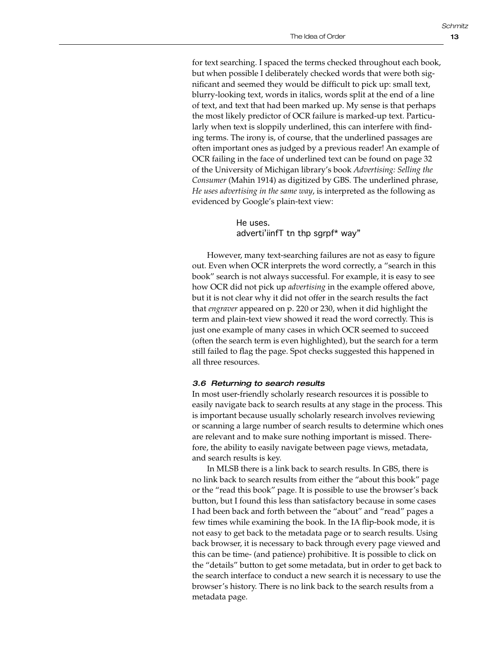for text searching. I spaced the terms checked throughout each book, but when possible I deliberately checked words that were both significant and seemed they would be difficult to pick up: small text, blurry-looking text, words in italics, words split at the end of a line of text, and text that had been marked up. My sense is that perhaps the most likely predictor of OCR failure is marked-up text. Particularly when text is sloppily underlined, this can interfere with finding terms. The irony is, of course, that the underlined passages are often important ones as judged by a previous reader! An example of OCR failing in the face of underlined text can be found on page 32 of the University of Michigan library's book *Advertising: Selling the Consumer* (Mahin 1914) as digitized by GBS. The underlined phrase, *He uses advertising in the same way*, is interpreted as the following as evidenced by Google's plain-text view:

> He uses. adverti'iinfT tn thp sgrpf\* way"

However, many text-searching failures are not as easy to figure out. Even when OCR interprets the word correctly, a "search in this book" search is not always successful. For example, it is easy to see how OCR did not pick up *advertising* in the example offered above, but it is not clear why it did not offer in the search results the fact that *engraver* appeared on p. 220 or 230, when it did highlight the term and plain-text view showed it read the word correctly. This is just one example of many cases in which OCR seemed to succeed (often the search term is even highlighted), but the search for a term still failed to flag the page. Spot checks suggested this happened in all three resources.

## *3.6 Returning to search results*

In most user-friendly scholarly research resources it is possible to easily navigate back to search results at any stage in the process. This is important because usually scholarly research involves reviewing or scanning a large number of search results to determine which ones are relevant and to make sure nothing important is missed. Therefore, the ability to easily navigate between page views, metadata, and search results is key.

In MLSB there is a link back to search results. In GBS, there is no link back to search results from either the "about this book" page or the "read this book" page. It is possible to use the browser's back button, but I found this less than satisfactory because in some cases I had been back and forth between the "about" and "read" pages a few times while examining the book. In the IA flip-book mode, it is not easy to get back to the metadata page or to search results. Using back browser, it is necessary to back through every page viewed and this can be time- (and patience) prohibitive. It is possible to click on the "details" button to get some metadata, but in order to get back to the search interface to conduct a new search it is necessary to use the browser's history. There is no link back to the search results from a metadata page.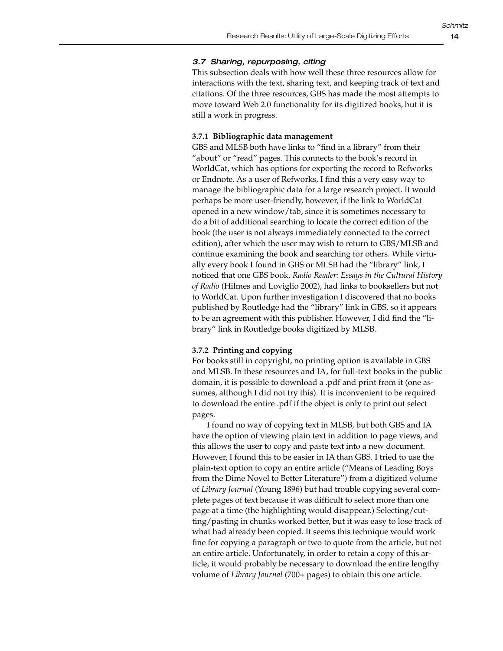## *3.7 Sharing, repurposing, citing*

This subsection deals with how well these three resources allow for interactions with the text, sharing text, and keeping track of text and citations. Of the three resources, GBS has made the most attempts to move toward Web 2.0 functionality for its digitized books, but it is still a work in progress.

## **3.7.1 Bibliographic data management**

GBS and MLSB both have links to "find in a library" from their "about" or "read" pages. This connects to the book's record in WorldCat, which has options for exporting the record to Refworks or Endnote. As a user of Refworks, I find this a very easy way to manage the bibliographic data for a large research project. It would perhaps be more user-friendly, however, if the link to WorldCat opened in a new window/tab, since it is sometimes necessary to do a bit of additional searching to locate the correct edition of the book (the user is not always immediately connected to the correct edition), after which the user may wish to return to GBS/MLSB and continue examining the book and searching for others. While virtually every book I found in GBS or MLSB had the "library" link, I noticed that one GBS book, *Radio Reader: Essays in the Cultural History of Radio* (Hilmes and Loviglio 2002), had links to booksellers but not to WorldCat. Upon further investigation I discovered that no books published by Routledge had the "library" link in GBS, so it appears to be an agreement with this publisher. However, I did find the "library" link in Routledge books digitized by MLSB.

## **3.7.2 Printing and copying**

For books still in copyright, no printing option is available in GBS and MLSB. In these resources and IA, for full-text books in the public domain, it is possible to download a .pdf and print from it (one assumes, although I did not try this). It is inconvenient to be required to download the entire .pdf if the object is only to print out select pages.

I found no way of copying text in MLSB, but both GBS and IA have the option of viewing plain text in addition to page views, and this allows the user to copy and paste text into a new document. However, I found this to be easier in IA than GBS. I tried to use the plain-text option to copy an entire article ("Means of Leading Boys from the Dime Novel to Better Literature") from a digitized volume of *Library Journal* (Young 1896) but had trouble copying several complete pages of text because it was difficult to select more than one page at a time (the highlighting would disappear.) Selecting/cutting/pasting in chunks worked better, but it was easy to lose track of what had already been copied. It seems this technique would work fine for copying a paragraph or two to quote from the article, but not an entire article. Unfortunately, in order to retain a copy of this article, it would probably be necessary to download the entire lengthy volume of *Library Journal* (700+ pages) to obtain this one article.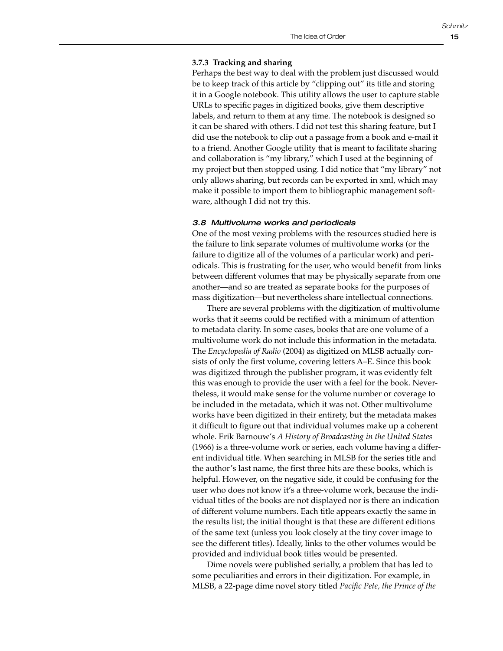## **3.7.3 Tracking and sharing**

Perhaps the best way to deal with the problem just discussed would be to keep track of this article by "clipping out" its title and storing it in a Google notebook. This utility allows the user to capture stable URLs to specific pages in digitized books, give them descriptive labels, and return to them at any time. The notebook is designed so it can be shared with others. I did not test this sharing feature, but I did use the notebook to clip out a passage from a book and e-mail it to a friend. Another Google utility that is meant to facilitate sharing and collaboration is "my library," which I used at the beginning of my project but then stopped using. I did notice that "my library" not only allows sharing, but records can be exported in xml, which may make it possible to import them to bibliographic management software, although I did not try this.

#### *3.8 Multivolume works and periodicals*

One of the most vexing problems with the resources studied here is the failure to link separate volumes of multivolume works (or the failure to digitize all of the volumes of a particular work) and periodicals. This is frustrating for the user, who would benefit from links between different volumes that may be physically separate from one another—and so are treated as separate books for the purposes of mass digitization—but nevertheless share intellectual connections.

There are several problems with the digitization of multivolume works that it seems could be rectified with a minimum of attention to metadata clarity. In some cases, books that are one volume of a multivolume work do not include this information in the metadata. The *Encyclopedia of Radio* (2004) as digitized on MLSB actually consists of only the first volume, covering letters A–E. Since this book was digitized through the publisher program, it was evidently felt this was enough to provide the user with a feel for the book. Nevertheless, it would make sense for the volume number or coverage to be included in the metadata, which it was not. Other multivolume works have been digitized in their entirety, but the metadata makes it difficult to figure out that individual volumes make up a coherent whole. Erik Barnouw's *A History of Broadcasting in the United States*  (1966) is a three-volume work or series, each volume having a different individual title. When searching in MLSB for the series title and the author's last name, the first three hits are these books, which is helpful. However, on the negative side, it could be confusing for the user who does not know it's a three-volume work, because the individual titles of the books are not displayed nor is there an indication of different volume numbers. Each title appears exactly the same in the results list; the initial thought is that these are different editions of the same text (unless you look closely at the tiny cover image to see the different titles). Ideally, links to the other volumes would be provided and individual book titles would be presented.

Dime novels were published serially, a problem that has led to some peculiarities and errors in their digitization. For example, in MLSB, a 22-page dime novel story titled *Pacific Pete, the Prince of the*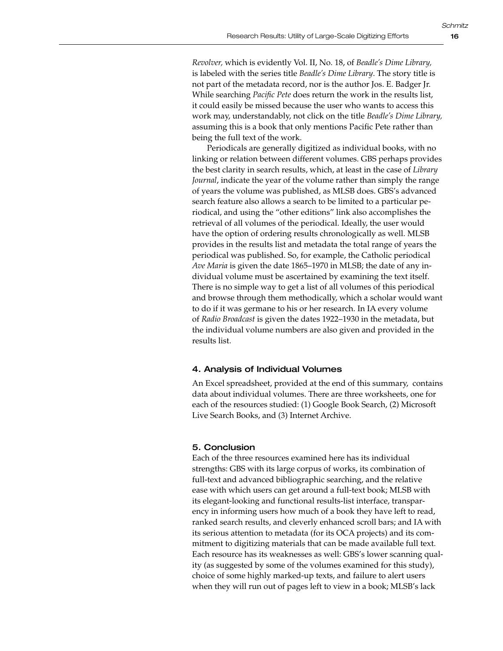*Revolver,* which is evidently Vol. II, No. 18, of *Beadle's Dime Library,* is labeled with the series title *Beadle's Dime Library*. The story title is not part of the metadata record, nor is the author Jos. E. Badger Jr. While searching *Pacific Pete* does return the work in the results list, it could easily be missed because the user who wants to access this work may, understandably, not click on the title *Beadle's Dime Library,* assuming this is a book that only mentions Pacific Pete rather than being the full text of the work.

Periodicals are generally digitized as individual books, with no linking or relation between different volumes. GBS perhaps provides the best clarity in search results, which, at least in the case of *Library Journal*, indicate the year of the volume rather than simply the range of years the volume was published, as MLSB does. GBS's advanced search feature also allows a search to be limited to a particular periodical, and using the "other editions" link also accomplishes the retrieval of all volumes of the periodical. Ideally, the user would have the option of ordering results chronologically as well. MLSB provides in the results list and metadata the total range of years the periodical was published. So, for example, the Catholic periodical *Ave Maria* is given the date 1865–1970 in MLSB; the date of any individual volume must be ascertained by examining the text itself. There is no simple way to get a list of all volumes of this periodical and browse through them methodically, which a scholar would want to do if it was germane to his or her research. In IA every volume of *Radio Broadcast* is given the dates 1922–1930 in the metadata, but the individual volume numbers are also given and provided in the results list.

## 4. Analysis of Individual Volumes

An Excel spreadsheet, provided at the end of this summary, contains data about individual volumes. There are three worksheets, one for each of the resources studied: (1) Google Book Search, (2) Microsoft Live Search Books, and (3) Internet Archive.

## 5. Conclusion

Each of the three resources examined here has its individual strengths: GBS with its large corpus of works, its combination of full-text and advanced bibliographic searching, and the relative ease with which users can get around a full-text book; MLSB with its elegant-looking and functional results-list interface, transparency in informing users how much of a book they have left to read, ranked search results, and cleverly enhanced scroll bars; and IA with its serious attention to metadata (for its OCA projects) and its commitment to digitizing materials that can be made available full text. Each resource has its weaknesses as well: GBS's lower scanning quality (as suggested by some of the volumes examined for this study), choice of some highly marked-up texts, and failure to alert users when they will run out of pages left to view in a book; MLSB's lack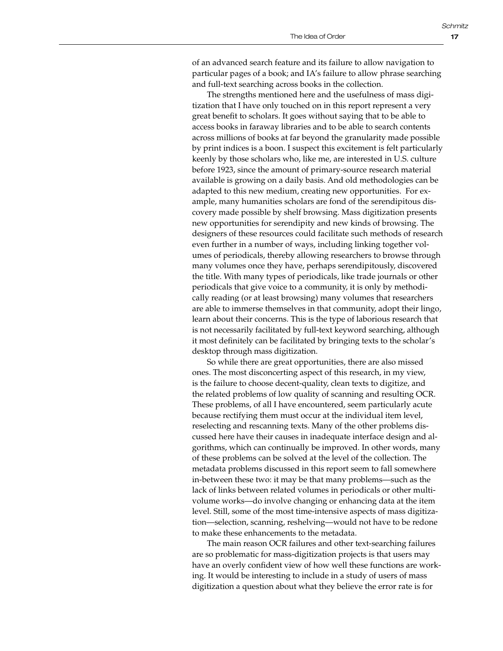of an advanced search feature and its failure to allow navigation to particular pages of a book; and IA's failure to allow phrase searching and full-text searching across books in the collection.

The strengths mentioned here and the usefulness of mass digitization that I have only touched on in this report represent a very great benefit to scholars. It goes without saying that to be able to access books in faraway libraries and to be able to search contents across millions of books at far beyond the granularity made possible by print indices is a boon. I suspect this excitement is felt particularly keenly by those scholars who, like me, are interested in U.S. culture before 1923, since the amount of primary-source research material available is growing on a daily basis. And old methodologies can be adapted to this new medium, creating new opportunities. For example, many humanities scholars are fond of the serendipitous discovery made possible by shelf browsing. Mass digitization presents new opportunities for serendipity and new kinds of browsing. The designers of these resources could facilitate such methods of research even further in a number of ways, including linking together volumes of periodicals, thereby allowing researchers to browse through many volumes once they have, perhaps serendipitously, discovered the title. With many types of periodicals, like trade journals or other periodicals that give voice to a community, it is only by methodically reading (or at least browsing) many volumes that researchers are able to immerse themselves in that community, adopt their lingo, learn about their concerns. This is the type of laborious research that is not necessarily facilitated by full-text keyword searching, although it most definitely can be facilitated by bringing texts to the scholar's desktop through mass digitization.

So while there are great opportunities, there are also missed ones. The most disconcerting aspect of this research, in my view, is the failure to choose decent-quality, clean texts to digitize, and the related problems of low quality of scanning and resulting OCR. These problems, of all I have encountered, seem particularly acute because rectifying them must occur at the individual item level, reselecting and rescanning texts. Many of the other problems discussed here have their causes in inadequate interface design and algorithms, which can continually be improved. In other words, many of these problems can be solved at the level of the collection. The metadata problems discussed in this report seem to fall somewhere in-between these two: it may be that many problems—such as the lack of links between related volumes in periodicals or other multivolume works—do involve changing or enhancing data at the item level. Still, some of the most time-intensive aspects of mass digitization—selection, scanning, reshelving—would not have to be redone to make these enhancements to the metadata.

The main reason OCR failures and other text-searching failures are so problematic for mass-digitization projects is that users may have an overly confident view of how well these functions are working. It would be interesting to include in a study of users of mass digitization a question about what they believe the error rate is for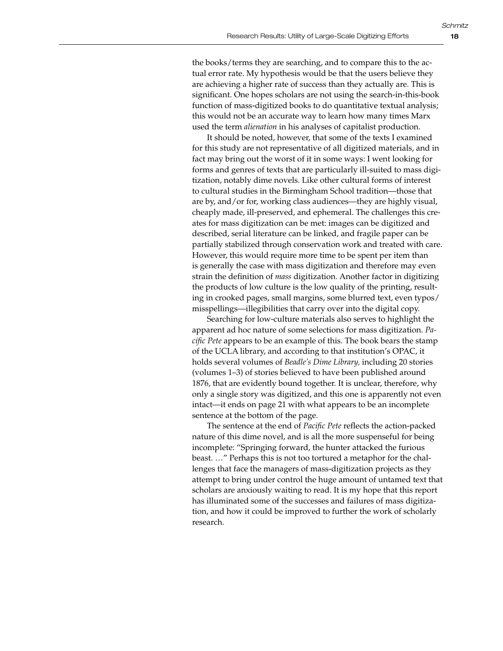the books/terms they are searching, and to compare this to the actual error rate. My hypothesis would be that the users believe they are achieving a higher rate of success than they actually are. This is significant. One hopes scholars are not using the search-in-this-book function of mass-digitized books to do quantitative textual analysis; this would not be an accurate way to learn how many times Marx used the term *alienation* in his analyses of capitalist production.

It should be noted, however, that some of the texts I examined for this study are not representative of all digitized materials, and in fact may bring out the worst of it in some ways: I went looking for forms and genres of texts that are particularly ill-suited to mass digitization, notably dime novels. Like other cultural forms of interest to cultural studies in the Birmingham School tradition—those that are by, and/or for, working class audiences—they are highly visual, cheaply made, ill-preserved, and ephemeral. The challenges this creates for mass digitization can be met: images can be digitized and described, serial literature can be linked, and fragile paper can be partially stabilized through conservation work and treated with care. However, this would require more time to be spent per item than is generally the case with mass digitization and therefore may even strain the definition of *mass* digitization. Another factor in digitizing the products of low culture is the low quality of the printing, resulting in crooked pages, small margins, some blurred text, even typos/ misspellings—illegibilities that carry over into the digital copy.

Searching for low-culture materials also serves to highlight the apparent ad hoc nature of some selections for mass digitization. *Pacific Pete* appears to be an example of this. The book bears the stamp of the UCLA library, and according to that institution's OPAC, it holds several volumes of *Beadle's Dime Library,* including 20 stories (volumes 1–3) of stories believed to have been published around 1876, that are evidently bound together. It is unclear, therefore, why only a single story was digitized, and this one is apparently not even intact—it ends on page 21 with what appears to be an incomplete sentence at the bottom of the page.

The sentence at the end of *Pacific Pete* reflects the action-packed nature of this dime novel, and is all the more suspenseful for being incomplete: "Springing forward, the hunter attacked the furious beast. …" Perhaps this is not too tortured a metaphor for the challenges that face the managers of mass-digitization projects as they attempt to bring under control the huge amount of untamed text that scholars are anxiously waiting to read. It is my hope that this report has illuminated some of the successes and failures of mass digitization, and how it could be improved to further the work of scholarly research.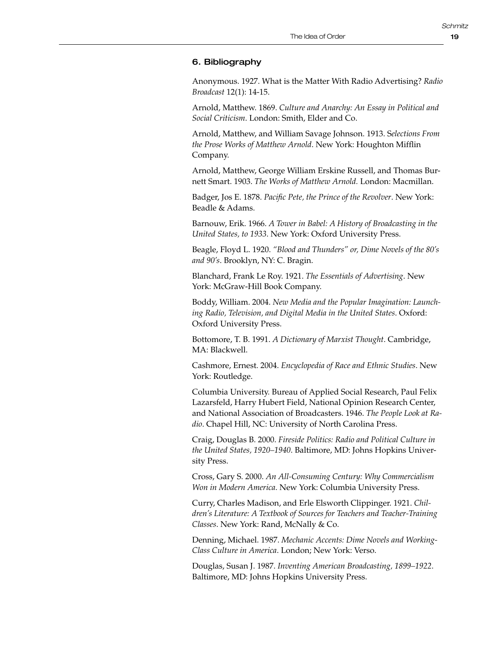# 6. Bibliography

Anonymous. 1927. What is the Matter With Radio Advertising? *Radio Broadcast* 12(1): 14-15.

Arnold, Matthew. 1869. *Culture and Anarchy: An Essay in Political and Social Criticism*. London: Smith, Elder and Co.

Arnold, Matthew, and William Savage Johnson. 1913. S*elections From the Prose Works of Matthew Arnold*. New York: Houghton Mifflin Company.

Arnold, Matthew, George William Erskine Russell, and Thomas Burnett Smart. 1903. *The Works of Matthew Arnold.* London: Macmillan.

Badger, Jos E. 1878. *Pacific Pete, the Prince of the Revolver*. New York: Beadle & Adams.

Barnouw, Erik. 1966. *A Tower in Babel: A History of Broadcasting in the United States, to 1933*. New York: Oxford University Press.

Beagle, Floyd L. 1920. *"Blood and Thunders" or, Dime Novels of the 80's and 90's*. Brooklyn, NY: C. Bragin.

Blanchard, Frank Le Roy. 1921. *The Essentials of Advertising*. New York: McGraw-Hill Book Company.

Boddy, William. 2004. *New Media and the Popular Imagination: Launching Radio, Television, and Digital Media in the United States*. Oxford: Oxford University Press.

Bottomore, T. B. 1991. *A Dictionary of Marxist Thought*. Cambridge, MA: Blackwell.

Cashmore, Ernest. 2004. *Encyclopedia of Race and Ethnic Studies*. New York: Routledge.

Columbia University. Bureau of Applied Social Research, Paul Felix Lazarsfeld, Harry Hubert Field, National Opinion Research Center, and National Association of Broadcasters. 1946. *The People Look at Radio*. Chapel Hill, NC: University of North Carolina Press.

Craig, Douglas B. 2000. *Fireside Politics: Radio and Political Culture in the United States, 1920–1940*. Baltimore, MD: Johns Hopkins University Press.

Cross, Gary S. 2000. *An All-Consuming Century: Why Commercialism Won in Modern America*. New York: Columbia University Press.

Curry, Charles Madison, and Erle Elsworth Clippinger. 1921. *Children's Literature: A Textbook of Sources for Teachers and Teacher-Training Classes*. New York: Rand, McNally & Co.

Denning, Michael. 1987. *Mechanic Accents: Dime Novels and Working-Class Culture in America*. London; New York: Verso.

Douglas, Susan J. 1987. *Inventing American Broadcasting, 1899–1922*. Baltimore, MD: Johns Hopkins University Press.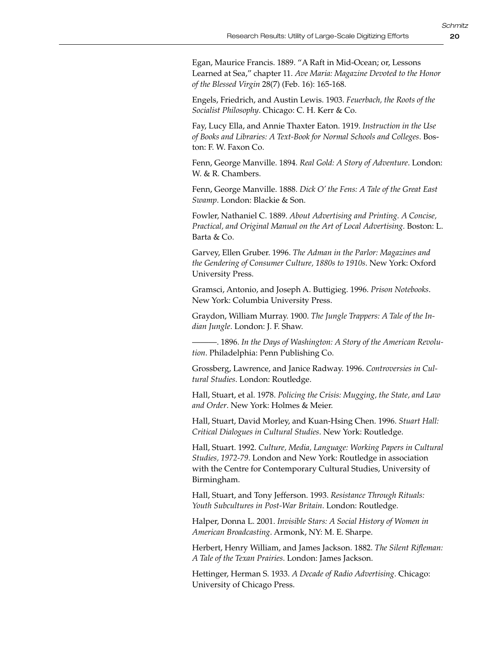Egan, Maurice Francis. 1889. "A Raft in Mid-Ocean; or, Lessons Learned at Sea," chapter 11. *Ave Maria: Magazine Devoted to the Honor of the Blessed Virgin* 28(7) (Feb. 16): 165-168.

Engels, Friedrich, and Austin Lewis. 1903. *Feuerbach, the Roots of the Socialist Philosophy*. Chicago: C. H. Kerr & Co.

Fay, Lucy Ella, and Annie Thaxter Eaton. 1919. *Instruction in the Use of Books and Libraries: A Text-Book for Normal Schools and Colleges*. Boston: F. W. Faxon Co.

Fenn, George Manville. 1894. *Real Gold: A Story of Adventure*. London: W. & R. Chambers.

Fenn, George Manville. 1888. *Dick O' the Fens: A Tale of the Great East Swamp*. London: Blackie & Son.

Fowler, Nathaniel C. 1889. *About Advertising and Printing. A Concise, Practical, and Original Manual on the Art of Local Advertising.* Boston: L. Barta & Co.

Garvey, Ellen Gruber. 1996. *The Adman in the Parlor: Magazines and the Gendering of Consumer Culture, 1880s to 1910s*. New York: Oxford University Press.

Gramsci, Antonio, and Joseph A. Buttigieg. 1996. *Prison Notebooks*. New York: Columbia University Press.

Graydon, William Murray. 1900. *The Jungle Trappers: A Tale of the Indian Jungle*. London: J. F. Shaw.

———. 1896. *In the Days of Washington: A Story of the American Revolution*. Philadelphia: Penn Publishing Co.

Grossberg, Lawrence, and Janice Radway. 1996. *Controversies in Cultural Studies*. London: Routledge.

Hall, Stuart, et al. 1978. *Policing the Crisis: Mugging, the State, and Law and Order*. New York: Holmes & Meier.

Hall, Stuart, David Morley, and Kuan-Hsing Chen. 1996. *Stuart Hall: Critical Dialogues in Cultural Studies*. New York: Routledge.

Hall, Stuart. 1992. *Culture, Media, Language: Working Papers in Cultural Studies, 1972-79*. London and New York: Routledge in association with the Centre for Contemporary Cultural Studies, University of Birmingham.

Hall, Stuart, and Tony Jefferson. 1993. *Resistance Through Rituals: Youth Subcultures in Post-War Britain*. London: Routledge.

Halper, Donna L. 2001. *Invisible Stars: A Social History of Women in American Broadcasting*. Armonk, NY: M. E. Sharpe.

Herbert, Henry William, and James Jackson. 1882. *The Silent Rifleman: A Tale of the Texan Prairies*. London: James Jackson.

Hettinger, Herman S. 1933. *A Decade of Radio Advertising*. Chicago: University of Chicago Press.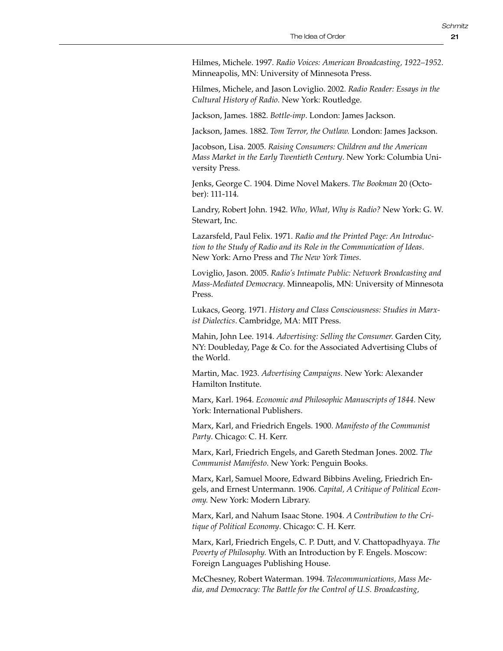Hilmes, Michele. 1997. *Radio Voices: American Broadcasting, 1922–1952*. Minneapolis, MN: University of Minnesota Press.

Hilmes, Michele, and Jason Loviglio. 2002. *Radio Reader: Essays in the Cultural History of Radio*. New York: Routledge.

Jackson, James. 1882. *Bottle-imp*. London: James Jackson.

Jackson, James. 1882. *Tom Terror, the Outlaw.* London: James Jackson.

Jacobson, Lisa. 2005. *Raising Consumers: Children and the American Mass Market in the Early Twentieth Century*. New York: Columbia University Press.

Jenks, George C. 1904. Dime Novel Makers. *The Bookman* 20 (October): 111-114.

Landry, Robert John. 1942. *Who, What, Why is Radio?* New York: G. W. Stewart, Inc.

Lazarsfeld, Paul Felix. 1971. *Radio and the Printed Page: An Introduction to the Study of Radio and its Role in the Communication of Ideas*. New York: Arno Press and *The New York Times*.

Loviglio, Jason. 2005. *Radio's Intimate Public: Network Broadcasting and Mass-Mediated Democracy*. Minneapolis, MN: University of Minnesota Press.

Lukacs, Georg. 1971. *History and Class Consciousness: Studies in Marxist Dialectics*. Cambridge, MA: MIT Press.

Mahin, John Lee. 1914. *Advertising: Selling the Consumer.* Garden City, NY: Doubleday, Page & Co. for the Associated Advertising Clubs of the World.

Martin, Mac. 1923. *Advertising Campaigns*. New York: Alexander Hamilton Institute.

Marx, Karl. 1964. *Economic and Philosophic Manuscripts of 1844.* New York: International Publishers.

Marx, Karl, and Friedrich Engels. 1900. *Manifesto of the Communist Party*. Chicago: C. H. Kerr.

Marx, Karl, Friedrich Engels, and Gareth Stedman Jones. 2002. *The Communist Manifesto*. New York: Penguin Books.

Marx, Karl, Samuel Moore, Edward Bibbins Aveling, Friedrich Engels, and Ernest Untermann. 1906. *Capital, A Critique of Political Economy.* New York: Modern Library.

Marx, Karl, and Nahum Isaac Stone. 1904. *A Contribution to the Critique of Political Economy*. Chicago: C. H. Kerr.

Marx, Karl, Friedrich Engels, C. P. Dutt, and V. Chattopadhyaya. *The Poverty of Philosophy.* With an Introduction by F. Engels. Moscow: Foreign Languages Publishing House.

McChesney, Robert Waterman. 1994. *Telecommunications, Mass Media, and Democracy: The Battle for the Control of U.S. Broadcasting,*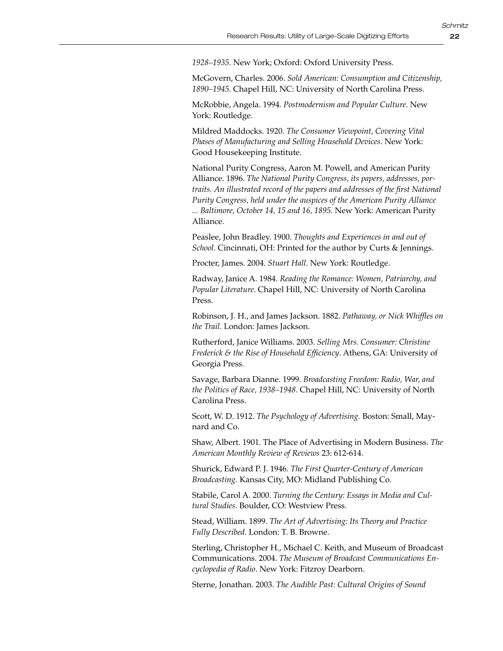*1928–1935*. New York; Oxford: Oxford University Press.

McGovern, Charles. 2006. *Sold American: Consumption and Citizenship, 1890–1945*. Chapel Hill, NC: University of North Carolina Press.

McRobbie, Angela. 1994. *Postmodernism and Popular Culture*. New York: Routledge.

Mildred Maddocks. 1920. *The Consumer Viewpoint, Covering Vital Phases of Manufacturing and Selling Household Devices*. New York: Good Housekeeping Institute.

National Purity Congress, Aaron M. Powell, and American Purity Alliance. 1896. *The National Purity Congress, its papers, addresses, portraits. An illustrated record of the papers and addresses of the first National Purity Congress, held under the auspices of the American Purity Alliance ... Baltimore, October 14, 15 and 16, 1895.* New York: American Purity Alliance.

Peaslee, John Bradley. 1900. *Thoughts and Experiences in and out of School*. Cincinnati, OH: Printed for the author by Curts & Jennings.

Procter, James. 2004. *Stuart Hall*. New York: Routledge.

Radway, Janice A. 1984. *Reading the Romance: Women, Patriarchy, and Popular Literature*. Chapel Hill, NC: University of North Carolina Press.

Robinson, J. H., and James Jackson. 1882. *Pathaway, or Nick Whiffles on the Trail*. London: James Jackson.

Rutherford, Janice Williams. 2003. *Selling Mrs. Consumer: Christine Frederick & the Rise of Household Efficiency*. Athens, GA: University of Georgia Press.

Savage, Barbara Dianne. 1999. *Broadcasting Freedom: Radio, War, and the Politics of Race, 1938–1948*. Chapel Hill, NC: University of North Carolina Press.

Scott, W. D. 1912. *The Psychology of Advertising.* Boston: Small, Maynard and Co.

Shaw, Albert. 1901. The Place of Advertising in Modern Business. *The American Monthly Review of Reviews* 23: 612-614.

Shurick, Edward P. J. 1946. *The First Quarter-Century of American Broadcasting.* Kansas City, MO: Midland Publishing Co.

Stabile, Carol A. 2000. *Turning the Century: Essays in Media and Cultural Studies*. Boulder, CO: Westview Press.

Stead, William. 1899. *The Art of Advertising: Its Theory and Practice Fully Described.* London: T. B. Browne.

Sterling, Christopher H., Michael C. Keith, and Museum of Broadcast Communications. 2004. *The Museum of Broadcast Communications Encyclopedia of Radio*. New York: Fitzroy Dearborn.

Sterne, Jonathan. 2003. *The Audible Past: Cultural Origins of Sound*